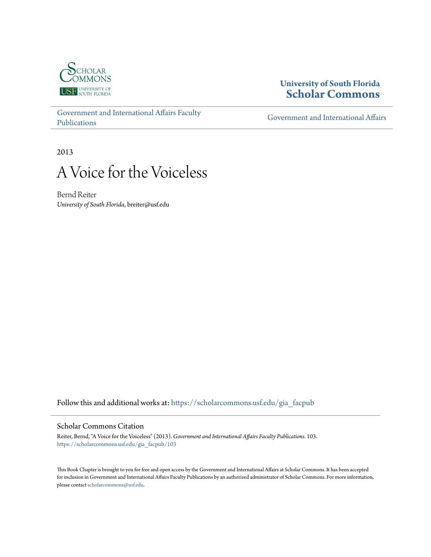

**University of South Florida [Scholar Commons](https://scholarcommons.usf.edu?utm_source=scholarcommons.usf.edu%2Fgia_facpub%2F103&utm_medium=PDF&utm_campaign=PDFCoverPages)**

[Government and International Affairs Faculty](https://scholarcommons.usf.edu/gia_facpub?utm_source=scholarcommons.usf.edu%2Fgia_facpub%2F103&utm_medium=PDF&utm_campaign=PDFCoverPages) [Publications](https://scholarcommons.usf.edu/gia_facpub?utm_source=scholarcommons.usf.edu%2Fgia_facpub%2F103&utm_medium=PDF&utm_campaign=PDFCoverPages)

[Government and International Affairs](https://scholarcommons.usf.edu/gia?utm_source=scholarcommons.usf.edu%2Fgia_facpub%2F103&utm_medium=PDF&utm_campaign=PDFCoverPages)

2013



Bernd Reiter *University of South Florida*, breiter@usf.edu

Follow this and additional works at: [https://scholarcommons.usf.edu/gia\\_facpub](https://scholarcommons.usf.edu/gia_facpub?utm_source=scholarcommons.usf.edu%2Fgia_facpub%2F103&utm_medium=PDF&utm_campaign=PDFCoverPages)

# Scholar Commons Citation

Reiter, Bernd, "A Voice for the Voiceless" (2013). *Government and International Affairs Faculty Publications*. 103. [https://scholarcommons.usf.edu/gia\\_facpub/103](https://scholarcommons.usf.edu/gia_facpub/103?utm_source=scholarcommons.usf.edu%2Fgia_facpub%2F103&utm_medium=PDF&utm_campaign=PDFCoverPages)

This Book Chapter is brought to you for free and open access by the Government and International Affairs at Scholar Commons. It has been accepted for inclusion in Government and International Affairs Faculty Publications by an authorized administrator of Scholar Commons. For more information, please contact [scholarcommons@usf.edu.](mailto:scholarcommons@usf.edu)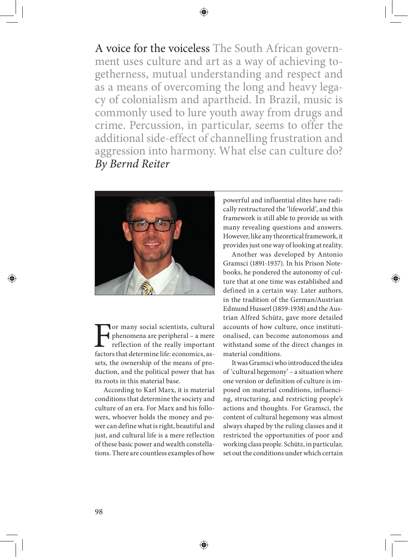A voice for the voiceless The South African government uses culture and art as a way of achieving togetherness, mutual understanding and respect and as a means of overcoming the long and heavy legacy of colonialism and apartheid. In Brazil, music is commonly used to lure youth away from drugs and crime. Percussion, in particular, seems to offer the additional side-effect of channelling frustration and aggression into harmony. What else can culture do? *By Bernd Reiter*



For many social scientists, cultural<br>phenomena are peripheral – a mere<br>reflection of the really important<br>factors that determine life: economics, asphenomena are peripheral – a mere reflection of the really important factors that determine life: economics, assets, the ownership of the means of production, and the political power that has its roots in this material base.

According to Karl Marx, it is material conditions that determine the society and culture of an era. For Marx and his followers, whoever holds the money and power can define what is right, beautiful and just, and cultural life is a mere reflection of these basic power and wealth constellations. There are countless examples of how powerful and influential elites have radically restructured the 'lifeworld', and this framework is still able to provide us with many revealing questions and answers. However, like any theoretical framework, it provides just one way of looking at reality.

Another was developed by Antonio Gramsci (1891-1937). In his Prison Notebooks, he pondered the autonomy of culture that at one time was established and defined in a certain way. Later authors, in the tradition of the German/Austrian Edmund Husserl (1859-1938) and the Austrian Alfred Schütz, gave more detailed accounts of how culture, once institutionalised, can become autonomous and withstand some of the direct changes in material conditions.

It was Gramsci who introduced the idea of 'cultural hegemony' – a situation where one version or definition of culture is imposed on material conditions, influencing, structuring, and restricting people's actions and thoughts. For Gramsci, the content of cultural hegemony was almost always shaped by the ruling classes and it restricted the opportunities of poor and working class people. Schütz, in particular, set out the conditions under which certain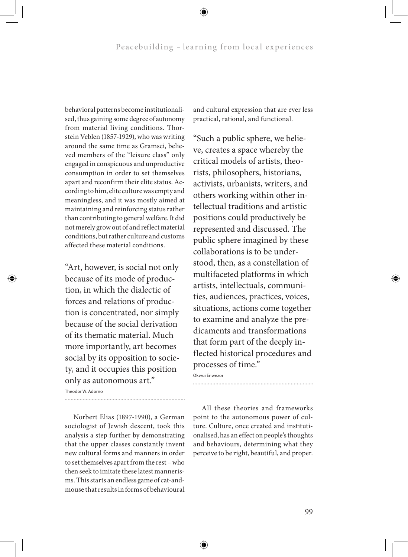behavioral patterns become institutionalised, thus gaining some degree of autonomy from material living conditions. Thorstein Veblen (1857-1929), who was writing around the same time as Gramsci, believed members of the "leisure class" only engaged in conspicuous and unproductive consumption in order to set themselves apart and reconfirm their elite status. According to him, elite culture was empty and meaningless, and it was mostly aimed at maintaining and reinforcing status rather than contributing to general welfare. It did not merely grow out of and reflect material conditions, but rather culture and customs affected these material conditions.

"Art, however, is social not only because of its mode of production, in which the dialectic of forces and relations of production is concentrated, nor simply because of the social derivation of its thematic material. Much more importantly, art becomes social by its opposition to society, and it occupies this position only as autonomous art."

Theodor W. Adorno

Norbert Elias (1897-1990), a German sociologist of Jewish descent, took this analysis a step further by demonstrating that the upper classes constantly invent new cultural forms and manners in order to set themselves apart from the rest – who then seek to imitate these latest mannerisms. This starts an endless game of cat-andmouse that results in forms of behavioural

and cultural expression that are ever less practical, rational, and functional.

"Such a public sphere, we believe, creates a space whereby the critical models of artists, theorists, philosophers, historians, activists, urbanists, writers, and others working within other intellectual traditions and artistic positions could productively be represented and discussed. The public sphere imagined by these collaborations is to be understood, then, as a constellation of multifaceted platforms in which artists, intellectuals, communities, audiences, practices, voices, situations, actions come together to examine and analyze the predicaments and transformations that form part of the deeply inflected historical procedures and processes of time."

Okwui Enwezor 

All these theories and frameworks point to the autonomous power of culture. Culture, once created and institutionalised, has an effect on people's thoughts and behaviours, determining what they perceive to be right, beautiful, and proper.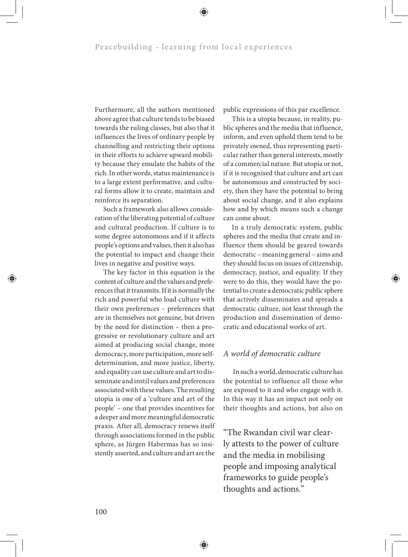Furthermore, all the authors mentioned above agree that culture tends to be biased towards the ruling classes, but also that it influences the lives of ordinary people by channelling and restricting their options in their efforts to achieve upward mobility because they emulate the habits of the rich. In other words, status maintenance is to a large extent performative, and cultural forms allow it to create, maintain and reinforce its separation.

Such a framework also allows consideration of the liberating potential of culture and cultural production. If culture is to some degree autonomous and if it affects people's options and values, then it also has the potential to impact and change their lives in negative and positive ways.

The key factor in this equation is the content of culture and the values and preferences that it transmits. If it is normally the rich and powerful who load culture with their own preferences – preferences that are in themselves not genuine, but driven by the need for distinction – then a progressive or revolutionary culture and art aimed at producing social change, more democracy, more participation, more selfdetermination, and more justice, liberty, and equality can use culture and art to disseminate and instil values and preferences associated with these values. The resulting utopia is one of a 'culture and art of the people' – one that provides incentives for a deeper and more meaningful democratic praxis. After all, democracy renews itself through associations formed in the public sphere, as Jürgen Habermas has so insistently asserted, and culture and art are the public expressions of this par excellence.

This is a utopia because, in reality, public spheres and the media that influence, inform, and even uphold them tend to be privately owned, thus representing particular rather than general interests, mostly of a commercial nature. But utopia or not, if it is recognised that culture and art can be autonomous and constructed by society, then they have the potential to bring about social change, and it also explains how and by which means such a change can come about.

In a truly democratic system, public spheres and the media that create and influence them should be geared towards democratic – meaning general – aims and they should focus on issues of citizenship, democracy, justice, and equality. If they were to do this, they would have the potential to create a democratic public sphere that actively disseminates and spreads a democratic culture, not least through the production and dissemination of democratic and educational works of art.

## *A world of democratic culture*

 In such a world, democratic culture has the potential to influence all those who are exposed to it and who engage with it. In this way it has an impact not only on their thoughts and actions, but also on

"The Rwandan civil war clearly attests to the power of culture and the media in mobilising people and imposing analytical frameworks to guide people's thoughts and actions."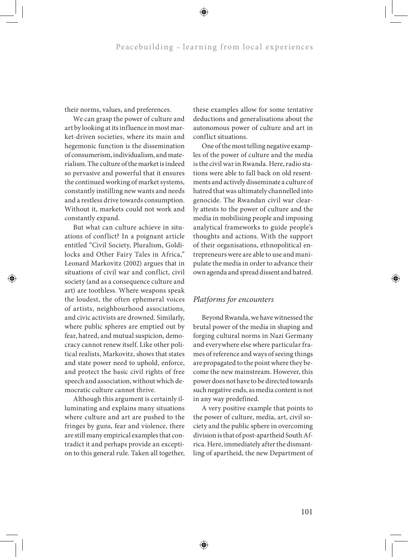their norms, values, and preferences.

We can grasp the power of culture and art by looking at its influence in most market-driven societies, where its main and hegemonic function is the dissemination of consumerism, individualism, and materialism. The culture of the market is indeed so pervasive and powerful that it ensures the continued working of market systems, constantly instilling new wants and needs and a restless drive towards consumption. Without it, markets could not work and constantly expand.

But what can culture achieve in situations of conflict? In a poignant article entitled "Civil Society, Pluralism, Goldilocks and Other Fairy Tales in Africa," Leonard Markovitz (2002) argues that in situations of civil war and conflict, civil society (and as a consequence culture and art) are toothless. Where weapons speak the loudest, the often ephemeral voices of artists, neighbourhood associations, and civic activists are drowned. Similarly, where public spheres are emptied out by fear, hatred, and mutual suspicion, democracy cannot renew itself. Like other political realists, Markovitz, shows that states and state power need to uphold, enforce, and protect the basic civil rights of free speech and association, without which democratic culture cannot thrive.

Although this argument is certainly illuminating and explains many situations where culture and art are pushed to the fringes by guns, fear and violence, there are still many empirical examples that contradict it and perhaps provide an exception to this general rule. Taken all together,

these examples allow for some tentative deductions and generalisations about the autonomous power of culture and art in conflict situations.

One of the most telling negative examples of the power of culture and the media is the civil war in Rwanda. Here, radio stations were able to fall back on old resentments and actively disseminate a culture of hatred that was ultimately channelled into genocide. The Rwandan civil war clearly attests to the power of culture and the media in mobilising people and imposing analytical frameworks to guide people's thoughts and actions. With the support of their organisations, ethnopolitical entrepreneurs were are able to use and manipulate the media in order to advance their own agenda and spread dissent and hatred.

### *Platforms for encounters*

Beyond Rwanda, we have witnessed the brutal power of the media in shaping and forging cultural norms in Nazi Germany and everywhere else where particular frames of reference and ways of seeing things are propagated to the point where they become the new mainstream. However, this power does not have to be directed towards such negative ends, as media content is not in any way predefined.

A very positive example that points to the power of culture, media, art, civil society and the public sphere in overcoming division is that of post-apartheid South Africa. Here, immediately after the dismantling of apartheid, the new Department of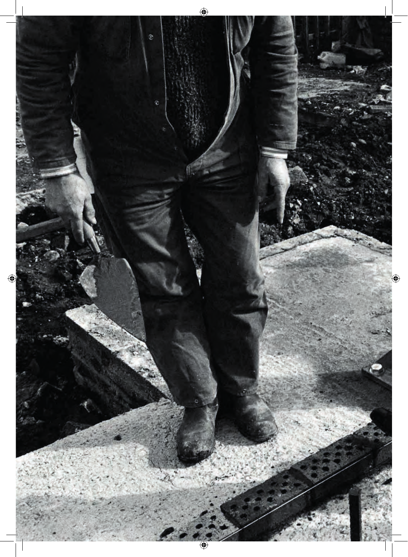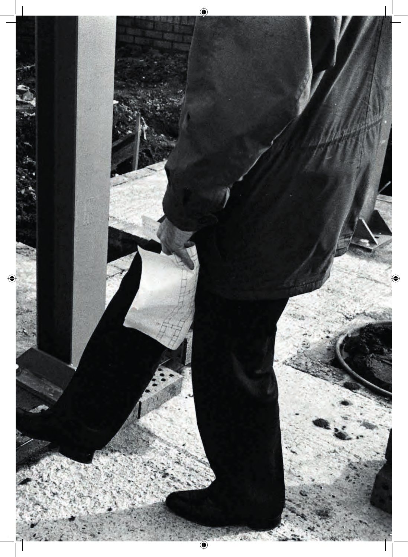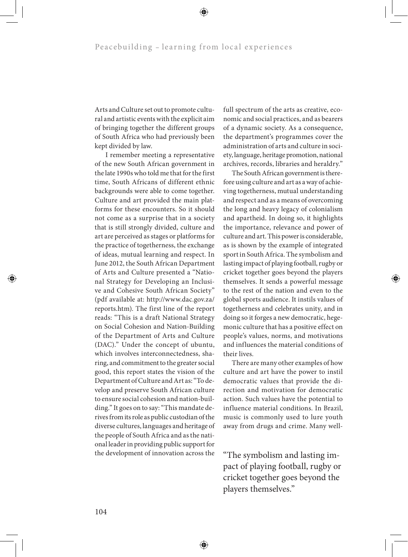Arts and Culture set out to promote cultural and artistic events with the explicit aim of bringing together the different groups of South Africa who had previously been kept divided by law.

 I remember meeting a representative of the new South African government in the late 1990s who told me that for the first time, South Africans of different ethnic backgrounds were able to come together. Culture and art provided the main platforms for these encounters. So it should not come as a surprise that in a society that is still strongly divided, culture and art are perceived as stages or platforms for the practice of togetherness, the exchange of ideas, mutual learning and respect. In June 2012, the South African Department of Arts and Culture presented a "National Strategy for Developing an Inclusive and Cohesive South African Society" (pdf available at: http://www.dac.gov.za/ reports.htm). The first line of the report reads: "This is a draft National Strategy on Social Cohesion and Nation-Building of the Department of Arts and Culture (DAC)." Under the concept of ubuntu, which involves interconnectedness, sharing, and commitment to the greater social good, this report states the vision of the Department of Culture and Art as: "To develop and preserve South African culture to ensure social cohesion and nation-building." It goes on to say: "This mandate derives from its role as public custodian of the diverse cultures, languages and heritage of the people of South Africa and as the national leader in providing public support for the development of innovation across the "The symbolism and lasting im-

full spectrum of the arts as creative, economic and social practices, and as bearers of a dynamic society. As a consequence, the department's programmes cover the administration of arts and culture in society, language, heritage promotion, national archives, records, libraries and heraldry."

The South African government is therefore using culture and art as a way of achieving togetherness, mutual understanding and respect and as a means of overcoming the long and heavy legacy of colonialism and apartheid. In doing so, it highlights the importance, relevance and power of culture and art. This power is considerable, as is shown by the example of integrated sport in South Africa. The symbolism and lasting impact of playing football, rugby or cricket together goes beyond the players themselves. It sends a powerful message to the rest of the nation and even to the global sports audience. It instils values of togetherness and celebrates unity, and in doing so it forges a new democratic, hegemonic culture that has a positive effect on people's values, norms, and motivations and influences the material conditions of their lives.

There are many other examples of how culture and art have the power to instil democratic values that provide the direction and motivation for democratic action. Such values have the potential to influence material conditions. In Brazil, music is commonly used to lure youth away from drugs and crime. Many well-

pact of playing football, rugby or cricket together goes beyond the players themselves."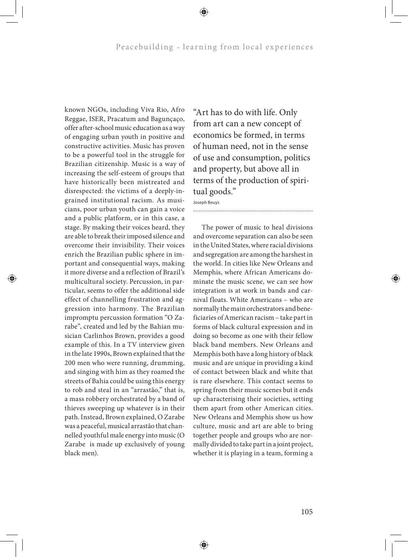known NGOs, including Viva Rio, Afro Reggae, ISER, Pracatum and Bagunçaço, offer after-school music education as a way of engaging urban youth in positive and constructive activities. Music has proven to be a powerful tool in the struggle for Brazilian citizenship. Music is a way of increasing the self-esteem of groups that have historically been mistreated and disrespected: the victims of a deeply-ingrained institutional racism. As musicians, poor urban youth can gain a voice and a public platform, or in this case, a stage. By making their voices heard, they are able to break their imposed silence and overcome their invisibility. Their voices enrich the Brazilian public sphere in important and consequential ways, making it more diverse and a reflection of Brazil's multicultural society. Percussion, in particular, seems to offer the additional side effect of channelling frustration and aggression into harmony. The Brazilian impromptu percussion formation "O Zarabe", created and led by the Bahian musician Carlinhos Brown, provides a good example of this. In a TV interview given in the late 1990s, Brown explained that the 200 men who were running, drumming, and singing with him as they roamed the streets of Bahia could be using this energy to rob and steal in an "arrastão," that is, a mass robbery orchestrated by a band of thieves sweeping up whatever is in their path. Instead, Brown explained, O Zarabe was a peaceful, musical arrastão that channelled youthful male energy into music (O Zarabe is made up exclusively of young black men).

"Art has to do with life. Only from art can a new concept of economics be formed, in terms of human need, not in the sense of use and consumption, politics and property, but above all in terms of the production of spiritual goods." Joseph Beuys

The power of music to heal divisions and overcome separation can also be seen in the United States, where racial divisions and segregation are among the harshest in the world. In cities like New Orleans and Memphis, where African Americans dominate the music scene, we can see how integration is at work in bands and carnival floats. White Americans – who are normally the main orchestrators and beneficiaries of American racism – take part in forms of black cultural expression and in doing so become as one with their fellow black band members. New Orleans and Memphis both have a long history of black music and are unique in providing a kind of contact between black and white that is rare elsewhere. This contact seems to spring from their music scenes but it ends up characterising their societies, setting them apart from other American cities. New Orleans and Memphis show us how culture, music and art are able to bring together people and groups who are normally divided to take part in a joint project, whether it is playing in a team, forming a